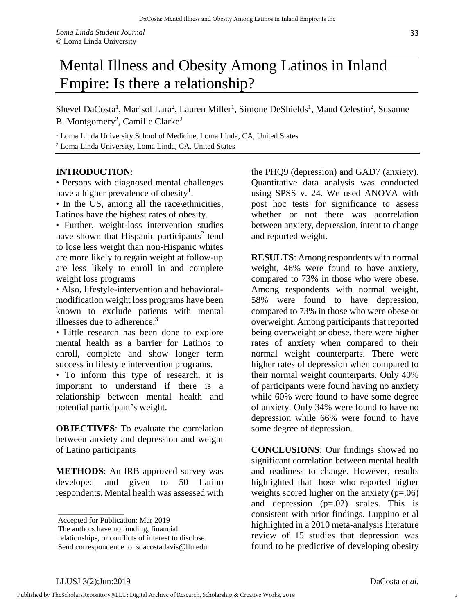## Mental Illness and Obesity Among Latinos in Inland Empire: Is there a relationship?

Shevel DaCosta<sup>1</sup>, Marisol Lara<sup>2</sup>, Lauren Miller<sup>1</sup>, Simone DeShields<sup>1</sup>, Maud Celestin<sup>2</sup>, Susanne B. Montgomery<sup>2</sup>, Camille Clarke<sup>2</sup>

<sup>1</sup> Loma Linda University School of Medicine, Loma Linda, CA, United States <sup>2</sup> Loma Linda University, Loma Linda, CA, United States

## **INTRODUCTION**:

• Persons with diagnosed mental challenges have a higher prevalence of obesity<sup>1</sup>.

• In the US, among all the race\ethnicities, Latinos have the highest rates of obesity.

• Further, weight-loss intervention studies have shown that Hispanic participants<sup>2</sup> tend to lose less weight than non-Hispanic whites are more likely to regain weight at follow-up are less likely to enroll in and complete weight loss programs

• Also, lifestyle-intervention and behavioralmodification weight loss programs have been known to exclude patients with mental illnesses due to adherence. $3$ 

• Little research has been done to explore mental health as a barrier for Latinos to enroll, complete and show longer term success in lifestyle intervention programs.

• To inform this type of research, it is important to understand if there is a relationship between mental health and potential participant's weight.

**OBJECTIVES**: To evaluate the correlation between anxiety and depression and weight of Latino participants

**METHODS**: An IRB approved survey was developed and given to 50 Latino respondents. Mental health was assessed with the PHQ9 (depression) and GAD7 (anxiety). Quantitative data analysis was conducted using SPSS v. 24. We used ANOVA with post hoc tests for significance to assess whether or not there was acorrelation between anxiety, depression, intent to change and reported weight.

**RESULTS**: Among respondents with normal weight, 46% were found to have anxiety, compared to 73% in those who were obese. Among respondents with normal weight, 58% were found to have depression, compared to 73% in those who were obese or overweight. Among participants that reported being overweight or obese, there were higher rates of anxiety when compared to their normal weight counterparts. There were higher rates of depression when compared to their normal weight counterparts. Only 40% of participants were found having no anxiety while 60% were found to have some degree of anxiety. Only 34% were found to have no depression while 66% were found to have some degree of depression.

**CONCLUSIONS**: Our findings showed no significant correlation between mental health and readiness to change. However, results highlighted that those who reported higher weights scored higher on the anxiety (p=.06) and depression  $(p=.02)$  scales. This is consistent with prior findings. Luppino et al highlighted in a 2010 meta-analysis literature review of 15 studies that depression was found to be predictive of developing obesity

\_\_\_\_\_\_\_\_\_\_\_\_\_\_\_\_\_

1

Accepted for Publication: Mar 2019

The authors have no funding, financial

relationships, or conflicts of interest to disclose. Send correspondence to: sdacostadavis@llu.edu